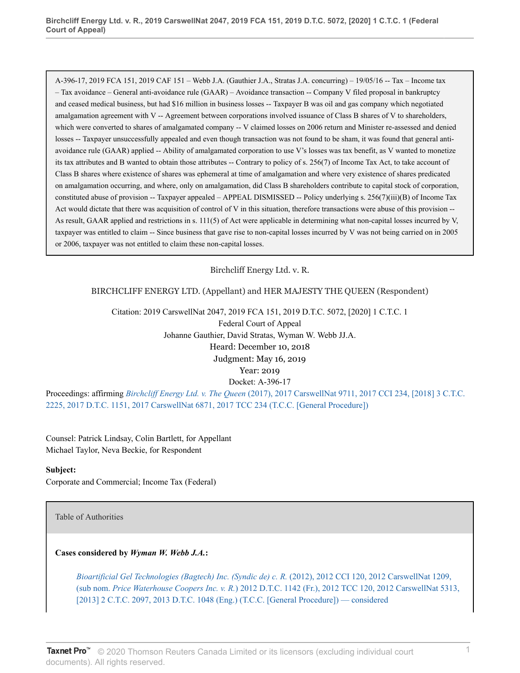A-396-17, 2019 FCA 151, 2019 CAF 151 – Webb J.A. (Gauthier J.A., Stratas J.A. concurring) – 19/05/16 -- Tax – Income tax – Tax avoidance – General anti-avoidance rule (GAAR) – Avoidance transaction -- Company V filed proposal in bankruptcy and ceased medical business, but had \$16 million in business losses -- Taxpayer B was oil and gas company which negotiated amalgamation agreement with V -- Agreement between corporations involved issuance of Class B shares of V to shareholders, which were converted to shares of amalgamated company -- V claimed losses on 2006 return and Minister re-assessed and denied losses -- Taxpayer unsuccessfully appealed and even though transaction was not found to be sham, it was found that general antiavoidance rule (GAAR) applied -- Ability of amalgamated corporation to use V's losses was tax benefit, as V wanted to monetize its tax attributes and B wanted to obtain those attributes -- Contrary to policy of s. 256(7) of Income Tax Act, to take account of Class B shares where existence of shares was ephemeral at time of amalgamation and where very existence of shares predicated on amalgamation occurring, and where, only on amalgamation, did Class B shareholders contribute to capital stock of corporation, constituted abuse of provision -- Taxpayer appealed – APPEAL DISMISSED -- Policy underlying s. 256(7)(iii)(B) of Income Tax Act would dictate that there was acquisition of control of V in this situation, therefore transactions were abuse of this provision -- As result, GAAR applied and restrictions in s. 111(5) of Act were applicable in determining what non-capital losses incurred by V, taxpayer was entitled to claim -- Since business that gave rise to non-capital losses incurred by V was not being carried on in 2005 or 2006, taxpayer was not entitled to claim these non-capital losses.

## Birchcliff Energy Ltd. v. R.

## BIRCHCLIFF ENERGY LTD. (Appellant) and HER MAJESTY THE QUEEN (Respondent)

Citation: 2019 CarswellNat 2047, 2019 FCA 151, 2019 D.T.C. 5072, [2020] 1 C.T.C. 1

Federal Court of Appeal Johanne Gauthier, David Stratas, Wyman W. Webb JJ.A. Heard: December 10, 2018 Judgment: May 16, 2019 Year: 2019 Docket: A-396-17

Proceedings: affirming *Birchcliff Energy Ltd. v. The Queen* [\(2017\), 2017 CarswellNat 9711, 2017 CCI 234, \[2018\] 3 C.T.C.](http://v3.taxnetpro.com/Document/I5f9eb0731a0474fbe0540021280d7cce/View/FullText.html?originationContext=document&vr=3.0&rs=cblt1.0&transitionType=DocumentItem&contextData=(sc.Search)) [2225, 2017 D.T.C. 1151, 2017 CarswellNat 6871, 2017 TCC 234 \(T.C.C. \[General Procedure\]\)](http://v3.taxnetpro.com/Document/I5f9eb0731a0474fbe0540021280d7cce/View/FullText.html?originationContext=document&vr=3.0&rs=cblt1.0&transitionType=DocumentItem&contextData=(sc.Search))

Counsel: Patrick Lindsay, Colin Bartlett, for Appellant Michael Taylor, Neva Beckie, for Respondent

#### **Subject:**

Corporate and Commercial; Income Tax (Federal)

Table of Authorities

**Cases considered by** *Wyman W. Webb J.A.***:**

*[Bioartificial Gel Technologies \(Bagtech\) Inc. \(Syndic de\) c. R.](http://v3.taxnetpro.com/Document/Id3e59ec25e570b26e0440021280d79ee/View/FullText.html?originationContext=document&vr=3.0&rs=cblt1.0&transitionType=DocumentItem&contextData=(sc.Search))* (2012), 2012 CCI 120, 2012 CarswellNat 1209, (sub nom. *Price Waterhouse Coopers Inc. v. R.*[\) 2012 D.T.C. 1142 \(Fr.\), 2012 TCC 120, 2012 CarswellNat 5313,](http://v3.taxnetpro.com/Document/Id3e59ec25e570b26e0440021280d79ee/View/FullText.html?originationContext=document&vr=3.0&rs=cblt1.0&transitionType=DocumentItem&contextData=(sc.Search)) [\[2013\] 2 C.T.C. 2097, 2013 D.T.C. 1048 \(Eng.\) \(T.C.C. \[General Procedure\]\) — considered](http://v3.taxnetpro.com/Document/Id3e59ec25e570b26e0440021280d79ee/View/FullText.html?originationContext=document&vr=3.0&rs=cblt1.0&transitionType=DocumentItem&contextData=(sc.Search))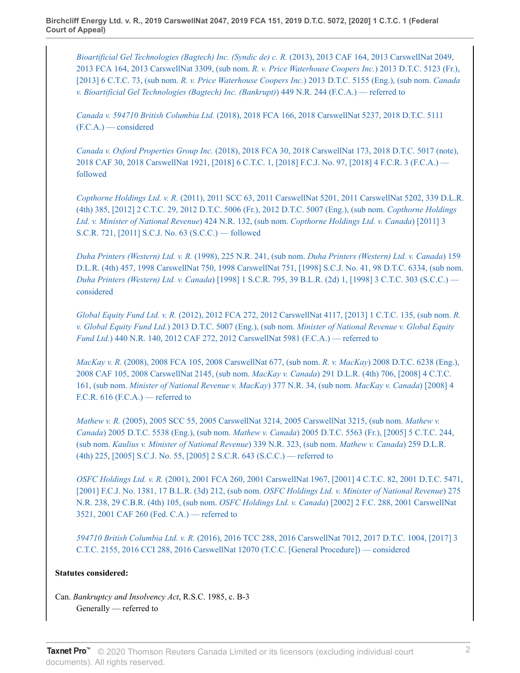*[Bioartificial Gel Technologies \(Bagtech\) Inc. \(Syndic de\) c. R.](http://v3.taxnetpro.com/Document/Ie710ea01896d23dee0440021280d79ee/View/FullText.html?originationContext=document&vr=3.0&rs=cblt1.0&transitionType=DocumentItem&contextData=(sc.Search))* (2013), 2013 CAF 164, 2013 CarswellNat 2049, [2013 FCA 164, 2013 CarswellNat 3309, \(sub nom.](http://v3.taxnetpro.com/Document/Ie710ea01896d23dee0440021280d79ee/View/FullText.html?originationContext=document&vr=3.0&rs=cblt1.0&transitionType=DocumentItem&contextData=(sc.Search)) *R. v. Price Waterhouse Coopers Inc.*) 2013 D.T.C. 5123 (Fr.), [2013] 6 C.T.C. 73, (sub nom. *R. v. Price Waterhouse Coopers Inc.*[\) 2013 D.T.C. 5155 \(Eng.\), \(sub nom.](http://v3.taxnetpro.com/Document/Ie710ea01896d23dee0440021280d79ee/View/FullText.html?originationContext=document&vr=3.0&rs=cblt1.0&transitionType=DocumentItem&contextData=(sc.Search)) *Canada [v. Bioartificial Gel Technologies \(Bagtech\) Inc. \(Bankrupt\)](http://v3.taxnetpro.com/Document/Ie710ea01896d23dee0440021280d79ee/View/FullText.html?originationContext=document&vr=3.0&rs=cblt1.0&transitionType=DocumentItem&contextData=(sc.Search))*) 449 N.R. 244 (F.C.A.) — referred to

*Canada v. 594710 British Columbia Ltd.* [\(2018\), 2018 FCA 166, 2018 CarswellNat 5237, 2018 D.T.C. 5111](http://v3.taxnetpro.com/Document/I76a1898bbdad4632e0540010e03eefe2/View/FullText.html?originationContext=document&vr=3.0&rs=cblt1.0&transitionType=DocumentItem&contextData=(sc.Search)) [\(F.C.A.\) — considered](http://v3.taxnetpro.com/Document/I76a1898bbdad4632e0540010e03eefe2/View/FullText.html?originationContext=document&vr=3.0&rs=cblt1.0&transitionType=DocumentItem&contextData=(sc.Search))

*Canada v. Oxford Properties Group Inc.* [\(2018\), 2018 FCA 30, 2018 CarswellNat 173, 2018 D.T.C. 5017 \(note\),](http://v3.taxnetpro.com/Document/I647ce7452bc36d5de0540021280d7cce/View/FullText.html?originationContext=document&vr=3.0&rs=cblt1.0&transitionType=DocumentItem&contextData=(sc.Search)) [2018 CAF 30, 2018 CarswellNat 1921, \[2018\] 6 C.T.C. 1, \[2018\] F.C.J. No. 97, \[2018\] 4 F.C.R. 3 \(F.C.A.\)](http://v3.taxnetpro.com/Document/I647ce7452bc36d5de0540021280d7cce/View/FullText.html?originationContext=document&vr=3.0&rs=cblt1.0&transitionType=DocumentItem&contextData=(sc.Search))  [followed](http://v3.taxnetpro.com/Document/I647ce7452bc36d5de0540021280d7cce/View/FullText.html?originationContext=document&vr=3.0&rs=cblt1.0&transitionType=DocumentItem&contextData=(sc.Search))

*Copthorne Holdings Ltd. v. R.* [\(2011\), 2011 SCC 63, 2011 CarswellNat 5201, 2011 CarswellNat 5202, 339 D.L.R.](http://v3.taxnetpro.com/Document/Ib6468171105f07f8e0440021280d79ee/View/FullText.html?originationContext=document&vr=3.0&rs=cblt1.0&transitionType=DocumentItem&contextData=(sc.Search)) [\(4th\) 385, \[2012\] 2 C.T.C. 29, 2012 D.T.C. 5006 \(Fr.\), 2012 D.T.C. 5007 \(Eng.\), \(sub nom.](http://v3.taxnetpro.com/Document/Ib6468171105f07f8e0440021280d79ee/View/FullText.html?originationContext=document&vr=3.0&rs=cblt1.0&transitionType=DocumentItem&contextData=(sc.Search)) *Copthorne Holdings [Ltd. v. Minister of National Revenue](http://v3.taxnetpro.com/Document/Ib6468171105f07f8e0440021280d79ee/View/FullText.html?originationContext=document&vr=3.0&rs=cblt1.0&transitionType=DocumentItem&contextData=(sc.Search))*) 424 N.R. 132, (sub nom. *Copthorne Holdings Ltd. v. Canada*) [2011] 3 [S.C.R. 721, \[2011\] S.C.J. No. 63 \(S.C.C.\) — followed](http://v3.taxnetpro.com/Document/Ib6468171105f07f8e0440021280d79ee/View/FullText.html?originationContext=document&vr=3.0&rs=cblt1.0&transitionType=DocumentItem&contextData=(sc.Search))

*Duha Printers (Western) Ltd. v. R.* (1998), 225 N.R. 241, (sub nom. *[Duha Printers \(Western\) Ltd. v. Canada](http://v3.taxnetpro.com/Document/I8d7d939407015dece0440003ba833f85/View/FullText.html?originationContext=document&vr=3.0&rs=cblt1.0&transitionType=DocumentItem&contextData=(sc.Search))*) 159 [D.L.R. \(4th\) 457, 1998 CarswellNat 750, 1998 CarswellNat 751, \[1998\] S.C.J. No. 41, 98 D.T.C. 6334, \(sub nom.](http://v3.taxnetpro.com/Document/I8d7d939407015dece0440003ba833f85/View/FullText.html?originationContext=document&vr=3.0&rs=cblt1.0&transitionType=DocumentItem&contextData=(sc.Search)) *Duha Printers (Western) Ltd. v. Canada*[\) \[1998\] 1 S.C.R. 795, 39 B.L.R. \(2d\) 1, \[1998\] 3 C.T.C. 303 \(S.C.C.\)](http://v3.taxnetpro.com/Document/I8d7d939407015dece0440003ba833f85/View/FullText.html?originationContext=document&vr=3.0&rs=cblt1.0&transitionType=DocumentItem&contextData=(sc.Search))  [considered](http://v3.taxnetpro.com/Document/I8d7d939407015dece0440003ba833f85/View/FullText.html?originationContext=document&vr=3.0&rs=cblt1.0&transitionType=DocumentItem&contextData=(sc.Search))

*Global Equity Fund Ltd. v. R.* [\(2012\), 2012 FCA 272, 2012 CarswellNat 4117, \[2013\] 1 C.T.C. 135, \(sub nom.](http://v3.taxnetpro.com/Document/Icd75b4f37b7b54fce0440021280d79ee/View/FullText.html?originationContext=document&vr=3.0&rs=cblt1.0&transitionType=DocumentItem&contextData=(sc.Search)) *R. v. Global Equity Fund Ltd.*) 2013 D.T.C. 5007 (Eng.), (sub nom. *[Minister of National Revenue v. Global Equity](http://v3.taxnetpro.com/Document/Icd75b4f37b7b54fce0440021280d79ee/View/FullText.html?originationContext=document&vr=3.0&rs=cblt1.0&transitionType=DocumentItem&contextData=(sc.Search)) Fund Ltd.*[\) 440 N.R. 140, 2012 CAF 272, 2012 CarswellNat 5981 \(F.C.A.\) — referred to](http://v3.taxnetpro.com/Document/Icd75b4f37b7b54fce0440021280d79ee/View/FullText.html?originationContext=document&vr=3.0&rs=cblt1.0&transitionType=DocumentItem&contextData=(sc.Search))

*MacKay v. R.* [\(2008\), 2008 FCA 105, 2008 CarswellNat 677, \(sub nom.](http://v3.taxnetpro.com/Document/I8d7d939363245dece0440003ba833f85/View/FullText.html?originationContext=document&vr=3.0&rs=cblt1.0&transitionType=DocumentItem&contextData=(sc.Search)) *R. v. MacKay*) 2008 D.T.C. 6238 (Eng.), [2008 CAF 105, 2008 CarswellNat 2145, \(sub nom.](http://v3.taxnetpro.com/Document/I8d7d939363245dece0440003ba833f85/View/FullText.html?originationContext=document&vr=3.0&rs=cblt1.0&transitionType=DocumentItem&contextData=(sc.Search)) *MacKay v. Canada*) 291 D.L.R. (4th) 706, [2008] 4 C.T.C. 161, (sub nom. *[Minister of National Revenue v. MacKay](http://v3.taxnetpro.com/Document/I8d7d939363245dece0440003ba833f85/View/FullText.html?originationContext=document&vr=3.0&rs=cblt1.0&transitionType=DocumentItem&contextData=(sc.Search))*) 377 N.R. 34, (sub nom. *MacKay v. Canada*) [2008] 4 F.C.R.  $616$  (F.C.A.) — referred to

*Mathew v. R.* [\(2005\), 2005 SCC 55, 2005 CarswellNat 3214, 2005 CarswellNat 3215, \(sub nom.](http://v3.taxnetpro.com/Document/I8d7d9393941e5dece0440003ba833f85/View/FullText.html?originationContext=document&vr=3.0&rs=cblt1.0&transitionType=DocumentItem&contextData=(sc.Search)) *Mathew v. Canada*) 2005 D.T.C. 5538 (Eng.), (sub nom. *Mathew v. Canada*[\) 2005 D.T.C. 5563 \(Fr.\), \[2005\] 5 C.T.C. 244,](http://v3.taxnetpro.com/Document/I8d7d9393941e5dece0440003ba833f85/View/FullText.html?originationContext=document&vr=3.0&rs=cblt1.0&transitionType=DocumentItem&contextData=(sc.Search)) (sub nom. *[Kaulius v. Minister of National Revenue](http://v3.taxnetpro.com/Document/I8d7d9393941e5dece0440003ba833f85/View/FullText.html?originationContext=document&vr=3.0&rs=cblt1.0&transitionType=DocumentItem&contextData=(sc.Search))*) 339 N.R. 323, (sub nom. *Mathew v. Canada*) 259 D.L.R. [\(4th\) 225, \[2005\] S.C.J. No. 55, \[2005\] 2 S.C.R. 643 \(S.C.C.\) — referred to](http://v3.taxnetpro.com/Document/I8d7d9393941e5dece0440003ba833f85/View/FullText.html?originationContext=document&vr=3.0&rs=cblt1.0&transitionType=DocumentItem&contextData=(sc.Search))

*OSFC Holdings Ltd. v. R.* [\(2001\), 2001 FCA 260, 2001 CarswellNat 1967, \[2001\] 4 C.T.C. 82, 2001 D.T.C. 5471,](http://v3.taxnetpro.com/Document/I8d7d9393e22e5dece0440003ba833f85/View/FullText.html?originationContext=document&vr=3.0&rs=cblt1.0&transitionType=DocumentItem&contextData=(sc.Search)) [\[2001\] F.C.J. No. 1381, 17 B.L.R. \(3d\) 212, \(sub nom.](http://v3.taxnetpro.com/Document/I8d7d9393e22e5dece0440003ba833f85/View/FullText.html?originationContext=document&vr=3.0&rs=cblt1.0&transitionType=DocumentItem&contextData=(sc.Search)) *OSFC Holdings Ltd. v. Minister of National Revenue*) 275 [N.R. 238, 29 C.B.R. \(4th\) 105, \(sub nom.](http://v3.taxnetpro.com/Document/I8d7d9393e22e5dece0440003ba833f85/View/FullText.html?originationContext=document&vr=3.0&rs=cblt1.0&transitionType=DocumentItem&contextData=(sc.Search)) *OSFC Holdings Ltd. v. Canada*) [2002] 2 F.C. 288, 2001 CarswellNat [3521, 2001 CAF 260 \(Fed. C.A.\) — referred to](http://v3.taxnetpro.com/Document/I8d7d9393e22e5dece0440003ba833f85/View/FullText.html?originationContext=document&vr=3.0&rs=cblt1.0&transitionType=DocumentItem&contextData=(sc.Search))

*594710 British Columbia Ltd. v. R.* [\(2016\), 2016 TCC 288, 2016 CarswellNat 7012, 2017 D.T.C. 1004, \[2017\] 3](http://v3.taxnetpro.com/Document/I4536aa4ede4102ace0540021280d79ee/View/FullText.html?originationContext=document&vr=3.0&rs=cblt1.0&transitionType=DocumentItem&contextData=(sc.Search)) [C.T.C. 2155, 2016 CCI 288, 2016 CarswellNat 12070 \(T.C.C. \[General Procedure\]\) — considered](http://v3.taxnetpro.com/Document/I4536aa4ede4102ace0540021280d79ee/View/FullText.html?originationContext=document&vr=3.0&rs=cblt1.0&transitionType=DocumentItem&contextData=(sc.Search))

## **Statutes considered:**

Can. *Bankruptcy and Insolvency Act*, R.S.C. 1985, c. B-3 Generally — referred to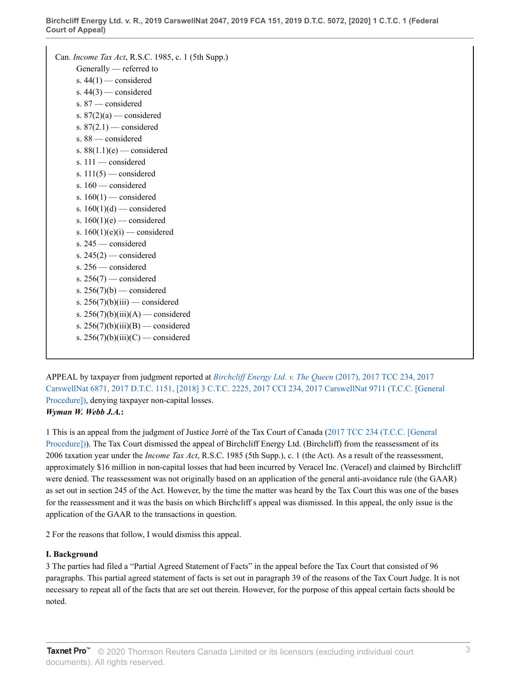```
Can. Income Tax Act, R.S.C. 1985, c. 1 (5th Supp.)
Generally — referred to
s. 44(1) — considered
s. 44(3) — considered
s. 87 — considered
s. 87(2)(a) — considered
s. 87(2.1) — considered
s. 88 — considered
s. 88(1.1)(e) — considered
s. 111 — considered
s. 111(5) — considered
s. 160 — considered
s. 160(1) — considered
s. 160(1)(d) — considered
s. 160(1)(e) — considered
s. 160(1)(e)(i) — considered
s. 245 — considered
s. 245(2) — considered
s. 256 — considered
s. 256(7) — considered
s. 256(7)(b) — considered
s. 256(7)(b)(iii) — considered
s. 256(7)(b)(iii)(A) — considered
s. 256(7)(b)(iii)(B) — considered
s. 256(7)(b)(iii)(C) — considered
```
APPEAL by taxpayer from judgment reported at *[Birchcliff Energy Ltd. v. The Queen](http://v3.taxnetpro.com/Document/I5f9eb0731a0474fbe0540021280d7cce/View/FullText.html?originationContext=document&vr=3.0&rs=cblt1.0&transitionType=DocumentItem&contextData=(sc.Search))* (2017), 2017 TCC 234, 2017 [CarswellNat 6871, 2017 D.T.C. 1151, \[2018\] 3 C.T.C. 2225, 2017 CCI 234, 2017 CarswellNat 9711 \(T.C.C. \[General](http://v3.taxnetpro.com/Document/I5f9eb0731a0474fbe0540021280d7cce/View/FullText.html?originationContext=document&vr=3.0&rs=cblt1.0&transitionType=DocumentItem&contextData=(sc.Search)) [Procedure\]\)](http://v3.taxnetpro.com/Document/I5f9eb0731a0474fbe0540021280d7cce/View/FullText.html?originationContext=document&vr=3.0&rs=cblt1.0&transitionType=DocumentItem&contextData=(sc.Search)), denying taxpayer non-capital losses. *Wyman W. Webb J.A.***:**

1 This is an appeal from the judgment of Justice Jorré of the Tax Court of Canada [\(2017 TCC 234 \(T.C.C. \[General](http://v3.taxnetpro.com/Document/I5f9eb0731a0474fbe0540021280d7cce/View/FullText.html?originationContext=document&vr=3.0&rs=cblt1.0&transitionType=DocumentItem&contextData=(sc.Search)) [Procedure\]\)](http://v3.taxnetpro.com/Document/I5f9eb0731a0474fbe0540021280d7cce/View/FullText.html?originationContext=document&vr=3.0&rs=cblt1.0&transitionType=DocumentItem&contextData=(sc.Search))). The Tax Court dismissed the appeal of Birchcliff Energy Ltd. (Birchcliff) from the reassessment of its 2006 taxation year under the *Income Tax Act*, R.S.C. 1985 (5th Supp.), c. 1 (the Act). As a result of the reassessment, approximately \$16 million in non-capital losses that had been incurred by Veracel Inc. (Veracel) and claimed by Birchcliff were denied. The reassessment was not originally based on an application of the general anti-avoidance rule (the GAAR) as set out in section 245 of the Act. However, by the time the matter was heard by the Tax Court this was one of the bases for the reassessment and it was the basis on which Birchcliff s appeal was dismissed. In this appeal, the only issue is the application of the GAAR to the transactions in question.

2 For the reasons that follow, I would dismiss this appeal.

## **I. Background**

3 The parties had filed a "Partial Agreed Statement of Facts" in the appeal before the Tax Court that consisted of 96 paragraphs. This partial agreed statement of facts is set out in paragraph 39 of the reasons of the Tax Court Judge. It is not necessary to repeat all of the facts that are set out therein. However, for the purpose of this appeal certain facts should be noted.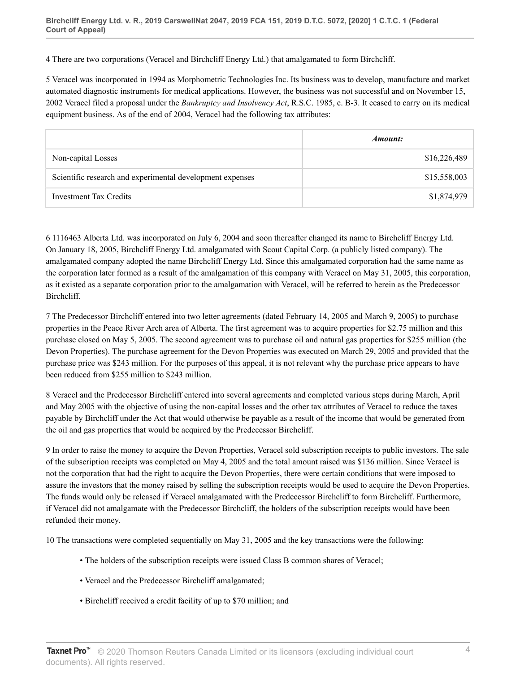4 There are two corporations (Veracel and Birchcliff Energy Ltd.) that amalgamated to form Birchcliff.

5 Veracel was incorporated in 1994 as Morphometric Technologies Inc. Its business was to develop, manufacture and market automated diagnostic instruments for medical applications. However, the business was not successful and on November 15, 2002 Veracel filed a proposal under the *Bankruptcy and Insolvency Act*, R.S.C. 1985, c. B-3. It ceased to carry on its medical equipment business. As of the end of 2004, Veracel had the following tax attributes:

|                                                           | Amount:      |
|-----------------------------------------------------------|--------------|
| Non-capital Losses                                        | \$16,226,489 |
| Scientific research and experimental development expenses | \$15,558,003 |
| Investment Tax Credits                                    | \$1,874,979  |

6 1116463 Alberta Ltd. was incorporated on July 6, 2004 and soon thereafter changed its name to Birchcliff Energy Ltd. On January 18, 2005, Birchcliff Energy Ltd. amalgamated with Scout Capital Corp. (a publicly listed company). The amalgamated company adopted the name Birchcliff Energy Ltd. Since this amalgamated corporation had the same name as the corporation later formed as a result of the amalgamation of this company with Veracel on May 31, 2005, this corporation, as it existed as a separate corporation prior to the amalgamation with Veracel, will be referred to herein as the Predecessor Birchcliff.

7 The Predecessor Birchcliff entered into two letter agreements (dated February 14, 2005 and March 9, 2005) to purchase properties in the Peace River Arch area of Alberta. The first agreement was to acquire properties for \$2.75 million and this purchase closed on May 5, 2005. The second agreement was to purchase oil and natural gas properties for \$255 million (the Devon Properties). The purchase agreement for the Devon Properties was executed on March 29, 2005 and provided that the purchase price was \$243 million. For the purposes of this appeal, it is not relevant why the purchase price appears to have been reduced from \$255 million to \$243 million.

8 Veracel and the Predecessor Birchcliff entered into several agreements and completed various steps during March, April and May 2005 with the objective of using the non-capital losses and the other tax attributes of Veracel to reduce the taxes payable by Birchcliff under the Act that would otherwise be payable as a result of the income that would be generated from the oil and gas properties that would be acquired by the Predecessor Birchcliff.

9 In order to raise the money to acquire the Devon Properties, Veracel sold subscription receipts to public investors. The sale of the subscription receipts was completed on May 4, 2005 and the total amount raised was \$136 million. Since Veracel is not the corporation that had the right to acquire the Devon Properties, there were certain conditions that were imposed to assure the investors that the money raised by selling the subscription receipts would be used to acquire the Devon Properties. The funds would only be released if Veracel amalgamated with the Predecessor Birchcliff to form Birchcliff. Furthermore, if Veracel did not amalgamate with the Predecessor Birchcliff, the holders of the subscription receipts would have been refunded their money.

10 The transactions were completed sequentially on May 31, 2005 and the key transactions were the following:

- The holders of the subscription receipts were issued Class B common shares of Veracel;
- Veracel and the Predecessor Birchcliff amalgamated;
- Birchcliff received a credit facility of up to \$70 million; and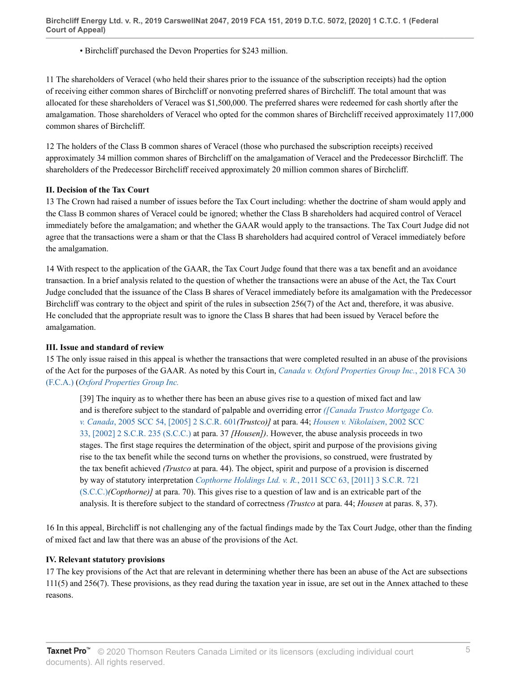• Birchcliff purchased the Devon Properties for \$243 million.

11 The shareholders of Veracel (who held their shares prior to the issuance of the subscription receipts) had the option of receiving either common shares of Birchcliff or nonvoting preferred shares of Birchcliff. The total amount that was allocated for these shareholders of Veracel was \$1,500,000. The preferred shares were redeemed for cash shortly after the amalgamation. Those shareholders of Veracel who opted for the common shares of Birchcliff received approximately 117,000 common shares of Birchcliff.

12 The holders of the Class B common shares of Veracel (those who purchased the subscription receipts) received approximately 34 million common shares of Birchcliff on the amalgamation of Veracel and the Predecessor Birchcliff. The shareholders of the Predecessor Birchcliff received approximately 20 million common shares of Birchcliff.

### **II. Decision of the Tax Court**

13 The Crown had raised a number of issues before the Tax Court including: whether the doctrine of sham would apply and the Class B common shares of Veracel could be ignored; whether the Class B shareholders had acquired control of Veracel immediately before the amalgamation; and whether the GAAR would apply to the transactions. The Tax Court Judge did not agree that the transactions were a sham or that the Class B shareholders had acquired control of Veracel immediately before the amalgamation.

14 With respect to the application of the GAAR, the Tax Court Judge found that there was a tax benefit and an avoidance transaction. In a brief analysis related to the question of whether the transactions were an abuse of the Act, the Tax Court Judge concluded that the issuance of the Class B shares of Veracel immediately before its amalgamation with the Predecessor Birchcliff was contrary to the object and spirit of the rules in subsection 256(7) of the Act and, therefore, it was abusive. He concluded that the appropriate result was to ignore the Class B shares that had been issued by Veracel before the amalgamation.

#### **III. Issue and standard of review**

15 The only issue raised in this appeal is whether the transactions that were completed resulted in an abuse of the provisions of the Act for the purposes of the GAAR. As noted by this Court in, *[Canada v. Oxford Properties Group Inc.](http://v3.taxnetpro.com/Document/I647ce7452bc36d5de0540021280d7cce/View/FullText.html?originationContext=document&vr=3.0&rs=cblt1.0&transitionType=DocumentItem&contextData=(sc.Search))*, 2018 FCA 30 [\(F.C.A.\)](http://v3.taxnetpro.com/Document/I647ce7452bc36d5de0540021280d7cce/View/FullText.html?originationContext=document&vr=3.0&rs=cblt1.0&transitionType=DocumentItem&contextData=(sc.Search)) (*[Oxford Properties Group Inc.](http://v3.taxnetpro.com/Document/I647ce7452bc36d5de0540021280d7cce/View/FullText.html?originationContext=document&vr=3.0&rs=cblt1.0&transitionType=DocumentItem&contextData=(sc.Search))*

[39] The inquiry as to whether there has been an abuse gives rise to a question of mixed fact and law and is therefore subject to the standard of palpable and overriding error *[\(\[Canada Trustco Mortgage Co.](http://v3.taxnetpro.com/Document/I8d7d939394245dece0440003ba833f85/View/FullText.html?originationContext=document&vr=3.0&rs=cblt1.0&transitionType=DocumentItem&contextData=(sc.Search)) v. Canada*[, 2005 SCC 54, \[2005\] 2 S.C.R. 601](http://v3.taxnetpro.com/Document/I8d7d939394245dece0440003ba833f85/View/FullText.html?originationContext=document&vr=3.0&rs=cblt1.0&transitionType=DocumentItem&contextData=(sc.Search))*(Trustco)]* at para. 44; *[Housen v. Nikolaisen](http://v3.taxnetpro.com/Document/I17a3d4299a0372cbe0540021280d79ee/View/FullText.html?originationContext=document&vr=3.0&rs=cblt1.0&transitionType=DocumentItem&contextData=(sc.Search))*, 2002 SCC [33, \[2002\] 2 S.C.R. 235 \(S.C.C.\)](http://v3.taxnetpro.com/Document/I17a3d4299a0372cbe0540021280d79ee/View/FullText.html?originationContext=document&vr=3.0&rs=cblt1.0&transitionType=DocumentItem&contextData=(sc.Search)) at para. 37 *[Housen])*. However, the abuse analysis proceeds in two stages. The first stage requires the determination of the object, spirit and purpose of the provisions giving rise to the tax benefit while the second turns on whether the provisions, so construed, were frustrated by the tax benefit achieved *(Trustco* at para. 44). The object, spirit and purpose of a provision is discerned by way of statutory interpretation *Copthorne Holdings Ltd. v. R.*[, 2011 SCC 63, \[2011\] 3 S.C.R. 721](http://v3.taxnetpro.com/Document/Ib6468171105f07f8e0440021280d79ee/View/FullText.html?originationContext=document&vr=3.0&rs=cblt1.0&transitionType=DocumentItem&contextData=(sc.Search)) [\(S.C.C.\)](http://v3.taxnetpro.com/Document/Ib6468171105f07f8e0440021280d79ee/View/FullText.html?originationContext=document&vr=3.0&rs=cblt1.0&transitionType=DocumentItem&contextData=(sc.Search))*(Copthorne)]* at para. 70). This gives rise to a question of law and is an extricable part of the analysis. It is therefore subject to the standard of correctness *(Trustco* at para. 44; *Housen* at paras. 8, 37).

16 In this appeal, Birchcliff is not challenging any of the factual findings made by the Tax Court Judge, other than the finding of mixed fact and law that there was an abuse of the provisions of the Act.

#### **IV. Relevant statutory provisions**

17 The key provisions of the Act that are relevant in determining whether there has been an abuse of the Act are subsections 111(5) and 256(7). These provisions, as they read during the taxation year in issue, are set out in the Annex attached to these reasons.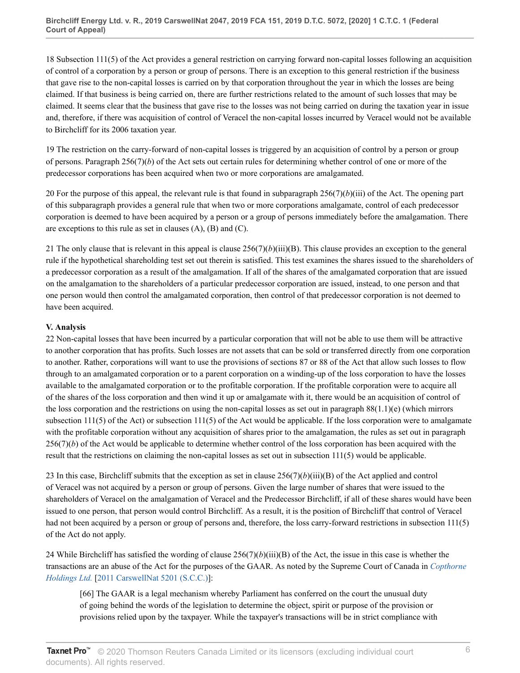18 Subsection 111(5) of the Act provides a general restriction on carrying forward non-capital losses following an acquisition of control of a corporation by a person or group of persons. There is an exception to this general restriction if the business that gave rise to the non-capital losses is carried on by that corporation throughout the year in which the losses are being claimed. If that business is being carried on, there are further restrictions related to the amount of such losses that may be claimed. It seems clear that the business that gave rise to the losses was not being carried on during the taxation year in issue and, therefore, if there was acquisition of control of Veracel the non-capital losses incurred by Veracel would not be available to Birchcliff for its 2006 taxation year.

19 The restriction on the carry-forward of non-capital losses is triggered by an acquisition of control by a person or group of persons. Paragraph 256(7)(*b*) of the Act sets out certain rules for determining whether control of one or more of the predecessor corporations has been acquired when two or more corporations are amalgamated.

20 For the purpose of this appeal, the relevant rule is that found in subparagraph  $256(7)(b)(iii)$  of the Act. The opening part of this subparagraph provides a general rule that when two or more corporations amalgamate, control of each predecessor corporation is deemed to have been acquired by a person or a group of persons immediately before the amalgamation. There are exceptions to this rule as set in clauses  $(A)$ ,  $(B)$  and  $(C)$ .

21 The only clause that is relevant in this appeal is clause  $256(7)(b)(iii)(B)$ . This clause provides an exception to the general rule if the hypothetical shareholding test set out therein is satisfied. This test examines the shares issued to the shareholders of a predecessor corporation as a result of the amalgamation. If all of the shares of the amalgamated corporation that are issued on the amalgamation to the shareholders of a particular predecessor corporation are issued, instead, to one person and that one person would then control the amalgamated corporation, then control of that predecessor corporation is not deemed to have been acquired.

# **V. Analysis**

22 Non-capital losses that have been incurred by a particular corporation that will not be able to use them will be attractive to another corporation that has profits. Such losses are not assets that can be sold or transferred directly from one corporation to another. Rather, corporations will want to use the provisions of sections 87 or 88 of the Act that allow such losses to flow through to an amalgamated corporation or to a parent corporation on a winding-up of the loss corporation to have the losses available to the amalgamated corporation or to the profitable corporation. If the profitable corporation were to acquire all of the shares of the loss corporation and then wind it up or amalgamate with it, there would be an acquisition of control of the loss corporation and the restrictions on using the non-capital losses as set out in paragraph  $88(1.1)(e)$  (which mirrors subsection 111(5) of the Act) or subsection 111(5) of the Act would be applicable. If the loss corporation were to amalgamate with the profitable corporation without any acquisition of shares prior to the amalgamation, the rules as set out in paragraph 256(7)(*b*) of the Act would be applicable to determine whether control of the loss corporation has been acquired with the result that the restrictions on claiming the non-capital losses as set out in subsection 111(5) would be applicable.

23 In this case, Birchcliff submits that the exception as set in clause  $256(7)(b)(iii)(B)$  of the Act applied and control of Veracel was not acquired by a person or group of persons. Given the large number of shares that were issued to the shareholders of Veracel on the amalgamation of Veracel and the Predecessor Birchcliff, if all of these shares would have been issued to one person, that person would control Birchcliff. As a result, it is the position of Birchcliff that control of Veracel had not been acquired by a person or group of persons and, therefore, the loss carry-forward restrictions in subsection 111(5) of the Act do not apply.

24 While Birchcliff has satisfied the wording of clause  $256(7)(b)(iii)(B)$  of the Act, the issue in this case is whether the transactions are an abuse of the Act for the purposes of the GAAR. As noted by the Supreme Court of Canada in *[Copthorne](http://v3.taxnetpro.com/Document/Ib6468171105f07f8e0440021280d79ee/View/FullText.html?originationContext=document&vr=3.0&rs=cblt1.0&transitionType=DocumentItem&contextData=(sc.Search)) [Holdings Ltd.](http://v3.taxnetpro.com/Document/Ib6468171105f07f8e0440021280d79ee/View/FullText.html?originationContext=document&vr=3.0&rs=cblt1.0&transitionType=DocumentItem&contextData=(sc.Search))* [[2011 CarswellNat 5201 \(S.C.C.\)\]](http://v3.taxnetpro.com/Document/Ib6468171105f07f8e0440021280d79ee/View/FullText.html?originationContext=document&vr=3.0&rs=cblt1.0&transitionType=DocumentItem&contextData=(sc.Search)):

[66] The GAAR is a legal mechanism whereby Parliament has conferred on the court the unusual duty of going behind the words of the legislation to determine the object, spirit or purpose of the provision or provisions relied upon by the taxpayer. While the taxpayer's transactions will be in strict compliance with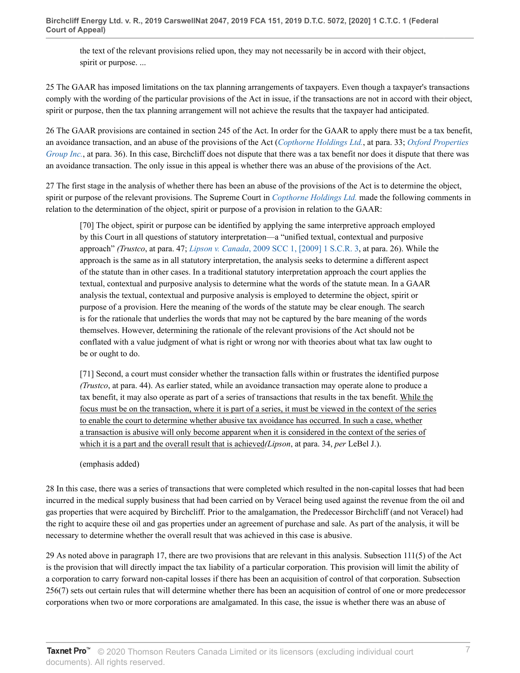the text of the relevant provisions relied upon, they may not necessarily be in accord with their object, spirit or purpose....

25 The GAAR has imposed limitations on the tax planning arrangements of taxpayers. Even though a taxpayer's transactions comply with the wording of the particular provisions of the Act in issue, if the transactions are not in accord with their object, spirit or purpose, then the tax planning arrangement will not achieve the results that the taxpayer had anticipated.

26 The GAAR provisions are contained in section 245 of the Act. In order for the GAAR to apply there must be a tax benefit, an avoidance transaction, and an abuse of the provisions of the Act (*[Copthorne Holdings Ltd.](http://v3.taxnetpro.com/Document/Ib6468171105f07f8e0440021280d79ee/View/FullText.html?originationContext=document&vr=3.0&rs=cblt1.0&transitionType=DocumentItem&contextData=(sc.Search))*, at para. 33; *[Oxford Properties](http://v3.taxnetpro.com/Document/I647ce7452bc36d5de0540021280d7cce/View/FullText.html?originationContext=document&vr=3.0&rs=cblt1.0&transitionType=DocumentItem&contextData=(sc.Search)) [Group Inc.](http://v3.taxnetpro.com/Document/I647ce7452bc36d5de0540021280d7cce/View/FullText.html?originationContext=document&vr=3.0&rs=cblt1.0&transitionType=DocumentItem&contextData=(sc.Search))*, at para. 36). In this case, Birchcliff does not dispute that there was a tax benefit nor does it dispute that there was an avoidance transaction. The only issue in this appeal is whether there was an abuse of the provisions of the Act.

27 The first stage in the analysis of whether there has been an abuse of the provisions of the Act is to determine the object, spirit or purpose of the relevant provisions. The Supreme Court in *[Copthorne Holdings Ltd.](http://v3.taxnetpro.com/Document/Ib6468171105f07f8e0440021280d79ee/View/FullText.html?originationContext=document&vr=3.0&rs=cblt1.0&transitionType=DocumentItem&contextData=(sc.Search))* made the following comments in relation to the determination of the object, spirit or purpose of a provision in relation to the GAAR:

[70] The object, spirit or purpose can be identified by applying the same interpretive approach employed by this Court in all questions of statutory interpretation—a "unified textual, contextual and purposive approach" *(Trustco*, at para. 47; *Lipson v. Canada*[, 2009 SCC 1, \[2009\] 1 S.C.R. 3,](http://v3.taxnetpro.com/Document/I8d7d93935ae45dece0440003ba833f85/View/FullText.html?originationContext=document&vr=3.0&rs=cblt1.0&transitionType=DocumentItem&contextData=(sc.Search)) at para. 26). While the approach is the same as in all statutory interpretation, the analysis seeks to determine a different aspect of the statute than in other cases. In a traditional statutory interpretation approach the court applies the textual, contextual and purposive analysis to determine what the words of the statute mean. In a GAAR analysis the textual, contextual and purposive analysis is employed to determine the object, spirit or purpose of a provision. Here the meaning of the words of the statute may be clear enough. The search is for the rationale that underlies the words that may not be captured by the bare meaning of the words themselves. However, determining the rationale of the relevant provisions of the Act should not be conflated with a value judgment of what is right or wrong nor with theories about what tax law ought to be or ought to do.

[71] Second, a court must consider whether the transaction falls within or frustrates the identified purpose *(Trustco*, at para. 44). As earlier stated, while an avoidance transaction may operate alone to produce a tax benefit, it may also operate as part of a series of transactions that results in the tax benefit. While the focus must be on the transaction, where it is part of a series, it must be viewed in the context of the series to enable the court to determine whether abusive tax avoidance has occurred. In such a case, whether a transaction is abusive will only become apparent when it is considered in the context of the series of which it is a part and the overall result that is achieved*(Lipson*, at para. 34, *per* LeBel J.).

(emphasis added)

28 In this case, there was a series of transactions that were completed which resulted in the non-capital losses that had been incurred in the medical supply business that had been carried on by Veracel being used against the revenue from the oil and gas properties that were acquired by Birchcliff. Prior to the amalgamation, the Predecessor Birchcliff (and not Veracel) had the right to acquire these oil and gas properties under an agreement of purchase and sale. As part of the analysis, it will be necessary to determine whether the overall result that was achieved in this case is abusive.

29 As noted above in paragraph 17, there are two provisions that are relevant in this analysis. Subsection 111(5) of the Act is the provision that will directly impact the tax liability of a particular corporation. This provision will limit the ability of a corporation to carry forward non-capital losses if there has been an acquisition of control of that corporation. Subsection 256(7) sets out certain rules that will determine whether there has been an acquisition of control of one or more predecessor corporations when two or more corporations are amalgamated. In this case, the issue is whether there was an abuse of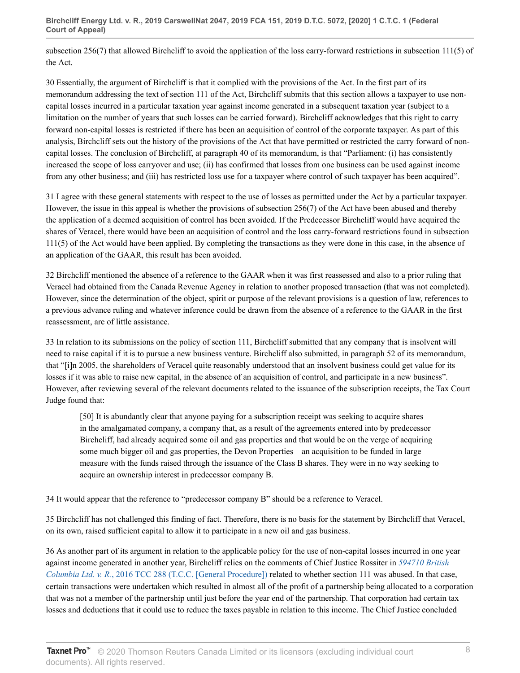subsection 256(7) that allowed Birchcliff to avoid the application of the loss carry-forward restrictions in subsection 111(5) of the Act.

30 Essentially, the argument of Birchcliff is that it complied with the provisions of the Act. In the first part of its memorandum addressing the text of section 111 of the Act, Birchcliff submits that this section allows a taxpayer to use noncapital losses incurred in a particular taxation year against income generated in a subsequent taxation year (subject to a limitation on the number of years that such losses can be carried forward). Birchcliff acknowledges that this right to carry forward non-capital losses is restricted if there has been an acquisition of control of the corporate taxpayer. As part of this analysis, Birchcliff sets out the history of the provisions of the Act that have permitted or restricted the carry forward of noncapital losses. The conclusion of Birchcliff, at paragraph 40 of its memorandum, is that "Parliament: (i) has consistently increased the scope of loss carryover and use; (ii) has confirmed that losses from one business can be used against income from any other business; and (iii) has restricted loss use for a taxpayer where control of such taxpayer has been acquired".

31 I agree with these general statements with respect to the use of losses as permitted under the Act by a particular taxpayer. However, the issue in this appeal is whether the provisions of subsection 256(7) of the Act have been abused and thereby the application of a deemed acquisition of control has been avoided. If the Predecessor Birchcliff would have acquired the shares of Veracel, there would have been an acquisition of control and the loss carry-forward restrictions found in subsection 111(5) of the Act would have been applied. By completing the transactions as they were done in this case, in the absence of an application of the GAAR, this result has been avoided.

32 Birchcliff mentioned the absence of a reference to the GAAR when it was first reassessed and also to a prior ruling that Veracel had obtained from the Canada Revenue Agency in relation to another proposed transaction (that was not completed). However, since the determination of the object, spirit or purpose of the relevant provisions is a question of law, references to a previous advance ruling and whatever inference could be drawn from the absence of a reference to the GAAR in the first reassessment, are of little assistance.

33 In relation to its submissions on the policy of section 111, Birchcliff submitted that any company that is insolvent will need to raise capital if it is to pursue a new business venture. Birchcliff also submitted, in paragraph 52 of its memorandum, that "[i]n 2005, the shareholders of Veracel quite reasonably understood that an insolvent business could get value for its losses if it was able to raise new capital, in the absence of an acquisition of control, and participate in a new business". However, after reviewing several of the relevant documents related to the issuance of the subscription receipts, the Tax Court Judge found that:

[50] It is abundantly clear that anyone paying for a subscription receipt was seeking to acquire shares in the amalgamated company, a company that, as a result of the agreements entered into by predecessor Birchcliff, had already acquired some oil and gas properties and that would be on the verge of acquiring some much bigger oil and gas properties, the Devon Properties—an acquisition to be funded in large measure with the funds raised through the issuance of the Class B shares. They were in no way seeking to acquire an ownership interest in predecessor company B.

34 It would appear that the reference to "predecessor company B" should be a reference to Veracel.

35 Birchcliff has not challenged this finding of fact. Therefore, there is no basis for the statement by Birchcliff that Veracel, on its own, raised sufficient capital to allow it to participate in a new oil and gas business.

36 As another part of its argument in relation to the applicable policy for the use of non-capital losses incurred in one year against income generated in another year, Birchcliff relies on the comments of Chief Justice Rossiter in *[594710 British](http://v3.taxnetpro.com/Document/I4536aa4ede4102ace0540021280d79ee/View/FullText.html?originationContext=document&vr=3.0&rs=cblt1.0&transitionType=DocumentItem&contextData=(sc.Search)) Columbia Ltd. v. R.*[, 2016 TCC 288 \(T.C.C. \[General Procedure\]\)](http://v3.taxnetpro.com/Document/I4536aa4ede4102ace0540021280d79ee/View/FullText.html?originationContext=document&vr=3.0&rs=cblt1.0&transitionType=DocumentItem&contextData=(sc.Search)) related to whether section 111 was abused. In that case, certain transactions were undertaken which resulted in almost all of the profit of a partnership being allocated to a corporation that was not a member of the partnership until just before the year end of the partnership. That corporation had certain tax losses and deductions that it could use to reduce the taxes payable in relation to this income. The Chief Justice concluded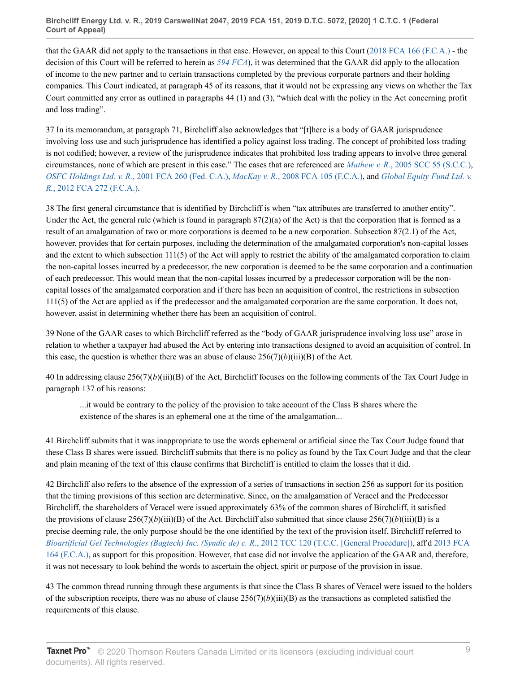that the GAAR did not apply to the transactions in that case. However, on appeal to this Court [\(2018 FCA 166 \(F.C.A.\)](http://v3.taxnetpro.com/Document/I76a1898bbdad4632e0540010e03eefe2/View/FullText.html?originationContext=document&vr=3.0&rs=cblt1.0&transitionType=DocumentItem&contextData=(sc.Search)) - the decision of this Court will be referred to herein as *[594 FCA](http://v3.taxnetpro.com/Document/I76a1898bbdad4632e0540010e03eefe2/View/FullText.html?originationContext=document&vr=3.0&rs=cblt1.0&transitionType=DocumentItem&contextData=(sc.Search))*), it was determined that the GAAR did apply to the allocation of income to the new partner and to certain transactions completed by the previous corporate partners and their holding companies. This Court indicated, at paragraph 45 of its reasons, that it would not be expressing any views on whether the Tax Court committed any error as outlined in paragraphs 44 (1) and (3), "which deal with the policy in the Act concerning profit and loss trading".

37 In its memorandum, at paragraph 71, Birchcliff also acknowledges that "[t]here is a body of GAAR jurisprudence involving loss use and such jurisprudence has identified a policy against loss trading. The concept of prohibited loss trading is not codified; however, a review of the jurisprudence indicates that prohibited loss trading appears to involve three general circumstances, none of which are present in this case." The cases that are referenced are *Mathew v. R.*[, 2005 SCC 55 \(S.C.C.\),](http://v3.taxnetpro.com/Document/I8d7d9393941e5dece0440003ba833f85/View/FullText.html?originationContext=document&vr=3.0&rs=cblt1.0&transitionType=DocumentItem&contextData=(sc.Search)) *OSFC Holdings Ltd. v. R.*[, 2001 FCA 260 \(Fed. C.A.\),](http://v3.taxnetpro.com/Document/I8d7d9393e22e5dece0440003ba833f85/View/FullText.html?originationContext=document&vr=3.0&rs=cblt1.0&transitionType=DocumentItem&contextData=(sc.Search)) *MacKay v. R.*[, 2008 FCA 105 \(F.C.A.\)](http://v3.taxnetpro.com/Document/I8d7d939363245dece0440003ba833f85/View/FullText.html?originationContext=document&vr=3.0&rs=cblt1.0&transitionType=DocumentItem&contextData=(sc.Search)), and *[Global Equity Fund Ltd. v.](http://v3.taxnetpro.com/Document/Icd75b4f37b7b54fce0440021280d79ee/View/FullText.html?originationContext=document&vr=3.0&rs=cblt1.0&transitionType=DocumentItem&contextData=(sc.Search)) R.*[, 2012 FCA 272 \(F.C.A.\)](http://v3.taxnetpro.com/Document/Icd75b4f37b7b54fce0440021280d79ee/View/FullText.html?originationContext=document&vr=3.0&rs=cblt1.0&transitionType=DocumentItem&contextData=(sc.Search)).

38 The first general circumstance that is identified by Birchcliff is when "tax attributes are transferred to another entity". Under the Act, the general rule (which is found in paragraph  $87(2)(a)$  of the Act) is that the corporation that is formed as a result of an amalgamation of two or more corporations is deemed to be a new corporation. Subsection 87(2.1) of the Act, however, provides that for certain purposes, including the determination of the amalgamated corporation's non-capital losses and the extent to which subsection 111(5) of the Act will apply to restrict the ability of the amalgamated corporation to claim the non-capital losses incurred by a predecessor, the new corporation is deemed to be the same corporation and a continuation of each predecessor. This would mean that the non-capital losses incurred by a predecessor corporation will be the noncapital losses of the amalgamated corporation and if there has been an acquisition of control, the restrictions in subsection 111(5) of the Act are applied as if the predecessor and the amalgamated corporation are the same corporation. It does not, however, assist in determining whether there has been an acquisition of control.

39 None of the GAAR cases to which Birchcliff referred as the "body of GAAR jurisprudence involving loss use" arose in relation to whether a taxpayer had abused the Act by entering into transactions designed to avoid an acquisition of control. In this case, the question is whether there was an abuse of clause  $256(7)(b)(iii)(B)$  of the Act.

40 In addressing clause  $256(7)(b)(iii)(B)$  of the Act, Birchcliff focuses on the following comments of the Tax Court Judge in paragraph 137 of his reasons:

...it would be contrary to the policy of the provision to take account of the Class B shares where the existence of the shares is an ephemeral one at the time of the amalgamation...

41 Birchcliff submits that it was inappropriate to use the words ephemeral or artificial since the Tax Court Judge found that these Class B shares were issued. Birchcliff submits that there is no policy as found by the Tax Court Judge and that the clear and plain meaning of the text of this clause confirms that Birchcliff is entitled to claim the losses that it did.

42 Birchcliff also refers to the absence of the expression of a series of transactions in section 256 as support for its position that the timing provisions of this section are determinative. Since, on the amalgamation of Veracel and the Predecessor Birchcliff, the shareholders of Veracel were issued approximately 63% of the common shares of Birchcliff, it satisfied the provisions of clause  $256(7)(b)(iii)(B)$  of the Act. Birchcliff also submitted that since clause  $256(7)(b)(iii)(B)$  is a precise deeming rule, the only purpose should be the one identified by the text of the provision itself. Birchcliff referred to *[Bioartificial Gel Technologies \(Bagtech\) Inc. \(Syndic de\) c. R.](http://v3.taxnetpro.com/Document/Id3e59ec25e570b26e0440021280d79ee/View/FullText.html?originationContext=document&vr=3.0&rs=cblt1.0&transitionType=DocumentItem&contextData=(sc.Search))*, 2012 TCC 120 (T.C.C. [General Procedure]), aff'd [2013 FCA](http://v3.taxnetpro.com/Document/Ie710ea01896d23dee0440021280d79ee/View/FullText.html?originationContext=document&vr=3.0&rs=cblt1.0&transitionType=DocumentItem&contextData=(sc.Search)) [164 \(F.C.A.\)](http://v3.taxnetpro.com/Document/Ie710ea01896d23dee0440021280d79ee/View/FullText.html?originationContext=document&vr=3.0&rs=cblt1.0&transitionType=DocumentItem&contextData=(sc.Search)), as support for this proposition. However, that case did not involve the application of the GAAR and, therefore, it was not necessary to look behind the words to ascertain the object, spirit or purpose of the provision in issue.

43 The common thread running through these arguments is that since the Class B shares of Veracel were issued to the holders of the subscription receipts, there was no abuse of clause  $256(7)(b)(iii)(B)$  as the transactions as completed satisfied the requirements of this clause.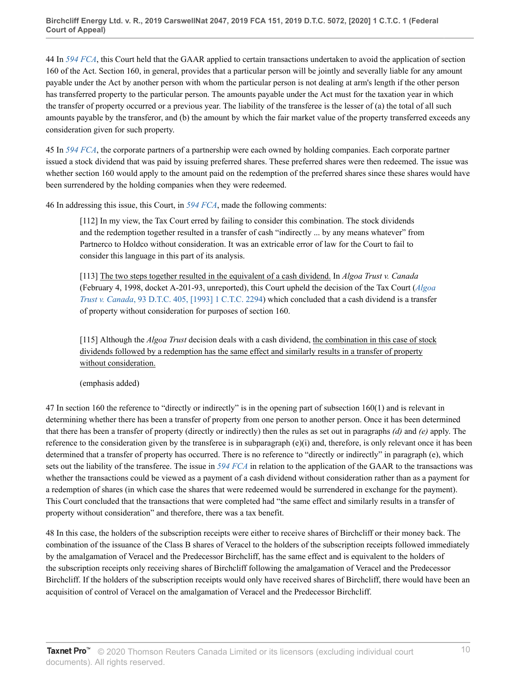44 In *[594 FCA](http://v3.taxnetpro.com/Document/I76a1898bbdad4632e0540010e03eefe2/View/FullText.html?originationContext=document&vr=3.0&rs=cblt1.0&transitionType=DocumentItem&contextData=(sc.Search))*, this Court held that the GAAR applied to certain transactions undertaken to avoid the application of section 160 of the Act. Section 160, in general, provides that a particular person will be jointly and severally liable for any amount payable under the Act by another person with whom the particular person is not dealing at arm's length if the other person has transferred property to the particular person. The amounts payable under the Act must for the taxation year in which the transfer of property occurred or a previous year. The liability of the transferee is the lesser of (a) the total of all such amounts payable by the transferor, and (b) the amount by which the fair market value of the property transferred exceeds any consideration given for such property.

45 In *[594 FCA](http://v3.taxnetpro.com/Document/I76a1898bbdad4632e0540010e03eefe2/View/FullText.html?originationContext=document&vr=3.0&rs=cblt1.0&transitionType=DocumentItem&contextData=(sc.Search))*, the corporate partners of a partnership were each owned by holding companies. Each corporate partner issued a stock dividend that was paid by issuing preferred shares. These preferred shares were then redeemed. The issue was whether section 160 would apply to the amount paid on the redemption of the preferred shares since these shares would have been surrendered by the holding companies when they were redeemed.

46 In addressing this issue, this Court, in *[594 FCA](http://v3.taxnetpro.com/Document/I76a1898bbdad4632e0540010e03eefe2/View/FullText.html?originationContext=document&vr=3.0&rs=cblt1.0&transitionType=DocumentItem&contextData=(sc.Search))*, made the following comments:

[112] In my view, the Tax Court erred by failing to consider this combination. The stock dividends and the redemption together resulted in a transfer of cash "indirectly ... by any means whatever" from Partnerco to Holdco without consideration. It was an extricable error of law for the Court to fail to consider this language in this part of its analysis.

[113] The two steps together resulted in the equivalent of a cash dividend. In *Algoa Trust v. Canada* (February 4, 1998, docket A-201-93, unreported), this Court upheld the decision of the Tax Court (*[Algoa](http://v3.taxnetpro.com/Document/I8d7d939445085dece0440003ba833f85/View/FullText.html?originationContext=document&vr=3.0&rs=cblt1.0&transitionType=DocumentItem&contextData=(sc.Search)) Trust v. Canada*[, 93 D.T.C. 405, \[1993\] 1 C.T.C. 2294](http://v3.taxnetpro.com/Document/I8d7d939445085dece0440003ba833f85/View/FullText.html?originationContext=document&vr=3.0&rs=cblt1.0&transitionType=DocumentItem&contextData=(sc.Search))) which concluded that a cash dividend is a transfer of property without consideration for purposes of section 160.

[115] Although the *Algoa Trust* decision deals with a cash dividend, the combination in this case of stock dividends followed by a redemption has the same effect and similarly results in a transfer of property without consideration.

(emphasis added)

47 In section 160 the reference to "directly or indirectly" is in the opening part of subsection 160(1) and is relevant in determining whether there has been a transfer of property from one person to another person. Once it has been determined that there has been a transfer of property (directly or indirectly) then the rules as set out in paragraphs *(d)* and *(e)* apply. The reference to the consideration given by the transferee is in subparagraph  $(e)(i)$  and, therefore, is only relevant once it has been determined that a transfer of property has occurred. There is no reference to "directly or indirectly" in paragraph (e), which sets out the liability of the transferee. The issue in *[594 FCA](http://v3.taxnetpro.com/Document/I76a1898bbdad4632e0540010e03eefe2/View/FullText.html?originationContext=document&vr=3.0&rs=cblt1.0&transitionType=DocumentItem&contextData=(sc.Search))* in relation to the application of the GAAR to the transactions was whether the transactions could be viewed as a payment of a cash dividend without consideration rather than as a payment for a redemption of shares (in which case the shares that were redeemed would be surrendered in exchange for the payment). This Court concluded that the transactions that were completed had "the same effect and similarly results in a transfer of property without consideration" and therefore, there was a tax benefit.

48 In this case, the holders of the subscription receipts were either to receive shares of Birchcliff or their money back. The combination of the issuance of the Class B shares of Veracel to the holders of the subscription receipts followed immediately by the amalgamation of Veracel and the Predecessor Birchcliff, has the same effect and is equivalent to the holders of the subscription receipts only receiving shares of Birchcliff following the amalgamation of Veracel and the Predecessor Birchcliff. If the holders of the subscription receipts would only have received shares of Birchcliff, there would have been an acquisition of control of Veracel on the amalgamation of Veracel and the Predecessor Birchcliff.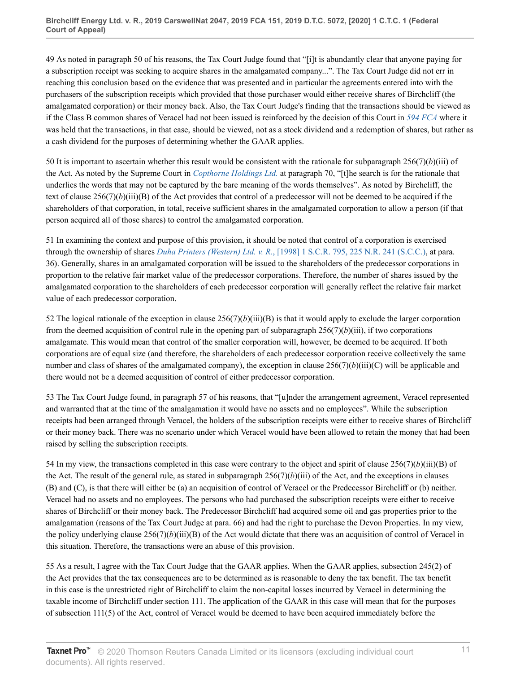49 As noted in paragraph 50 of his reasons, the Tax Court Judge found that "[i]t is abundantly clear that anyone paying for a subscription receipt was seeking to acquire shares in the amalgamated company...". The Tax Court Judge did not err in reaching this conclusion based on the evidence that was presented and in particular the agreements entered into with the purchasers of the subscription receipts which provided that those purchaser would either receive shares of Birchcliff (the amalgamated corporation) or their money back. Also, the Tax Court Judge's finding that the transactions should be viewed as if the Class B common shares of Veracel had not been issued is reinforced by the decision of this Court in *[594 FCA](http://v3.taxnetpro.com/Document/I76a1898bbdad4632e0540010e03eefe2/View/FullText.html?originationContext=document&vr=3.0&rs=cblt1.0&transitionType=DocumentItem&contextData=(sc.Search))* where it was held that the transactions, in that case, should be viewed, not as a stock dividend and a redemption of shares, but rather as a cash dividend for the purposes of determining whether the GAAR applies.

50 It is important to ascertain whether this result would be consistent with the rationale for subparagraph  $256(7)(b)(iii)$  of the Act. As noted by the Supreme Court in *[Copthorne Holdings Ltd.](http://v3.taxnetpro.com/Document/Ib6468171105f07f8e0440021280d79ee/View/FullText.html?originationContext=document&vr=3.0&rs=cblt1.0&transitionType=DocumentItem&contextData=(sc.Search))* at paragraph 70, "[t]he search is for the rationale that underlies the words that may not be captured by the bare meaning of the words themselves". As noted by Birchcliff, the text of clause  $256(7)(b)(iii)(B)$  of the Act provides that control of a predecessor will not be deemed to be acquired if the shareholders of that corporation, in total, receive sufficient shares in the amalgamated corporation to allow a person (if that person acquired all of those shares) to control the amalgamated corporation.

51 In examining the context and purpose of this provision, it should be noted that control of a corporation is exercised through the ownership of shares *Duha Printers (Western) Ltd. v. R.*[, \[1998\] 1 S.C.R. 795, 225 N.R. 241 \(S.C.C.\)](http://v3.taxnetpro.com/Document/I8d7d939407015dece0440003ba833f85/View/FullText.html?originationContext=document&vr=3.0&rs=cblt1.0&transitionType=DocumentItem&contextData=(sc.Search)), at para. 36). Generally, shares in an amalgamated corporation will be issued to the shareholders of the predecessor corporations in proportion to the relative fair market value of the predecessor corporations. Therefore, the number of shares issued by the amalgamated corporation to the shareholders of each predecessor corporation will generally reflect the relative fair market value of each predecessor corporation.

52 The logical rationale of the exception in clause  $256(7)(b)(iii)(B)$  is that it would apply to exclude the larger corporation from the deemed acquisition of control rule in the opening part of subparagraph  $256(7)(b)(iii)$ , if two corporations amalgamate. This would mean that control of the smaller corporation will, however, be deemed to be acquired. If both corporations are of equal size (and therefore, the shareholders of each predecessor corporation receive collectively the same number and class of shares of the amalgamated company), the exception in clause  $256(7)(b)(iii)(C)$  will be applicable and there would not be a deemed acquisition of control of either predecessor corporation.

53 The Tax Court Judge found, in paragraph 57 of his reasons, that "[u]nder the arrangement agreement, Veracel represented and warranted that at the time of the amalgamation it would have no assets and no employees". While the subscription receipts had been arranged through Veracel, the holders of the subscription receipts were either to receive shares of Birchcliff or their money back. There was no scenario under which Veracel would have been allowed to retain the money that had been raised by selling the subscription receipts.

54 In my view, the transactions completed in this case were contrary to the object and spirit of clause  $256(7)(b)(iii)(B)$  of the Act. The result of the general rule, as stated in subparagraph  $256(7)(b)(iii)$  of the Act, and the exceptions in clauses (B) and (C), is that there will either be (a) an acquisition of control of Veracel or the Predecessor Birchcliff or (b) neither. Veracel had no assets and no employees. The persons who had purchased the subscription receipts were either to receive shares of Birchcliff or their money back. The Predecessor Birchcliff had acquired some oil and gas properties prior to the amalgamation (reasons of the Tax Court Judge at para. 66) and had the right to purchase the Devon Properties. In my view, the policy underlying clause  $256(7)(b)(iii)(B)$  of the Act would dictate that there was an acquisition of control of Veracel in this situation. Therefore, the transactions were an abuse of this provision.

55 As a result, I agree with the Tax Court Judge that the GAAR applies. When the GAAR applies, subsection 245(2) of the Act provides that the tax consequences are to be determined as is reasonable to deny the tax benefit. The tax benefit in this case is the unrestricted right of Birchcliff to claim the non-capital losses incurred by Veracel in determining the taxable income of Birchcliff under section 111. The application of the GAAR in this case will mean that for the purposes of subsection 111(5) of the Act, control of Veracel would be deemed to have been acquired immediately before the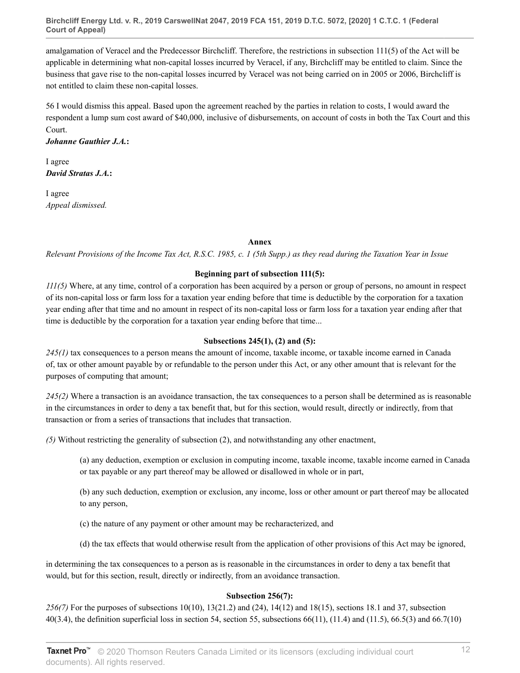**Birchcliff Energy Ltd. v. R., 2019 CarswellNat 2047, 2019 FCA 151, 2019 D.T.C. 5072, [2020] 1 C.T.C. 1 (Federal Court of Appeal)**

amalgamation of Veracel and the Predecessor Birchcliff. Therefore, the restrictions in subsection 111(5) of the Act will be applicable in determining what non-capital losses incurred by Veracel, if any, Birchcliff may be entitled to claim. Since the business that gave rise to the non-capital losses incurred by Veracel was not being carried on in 2005 or 2006, Birchcliff is not entitled to claim these non-capital losses.

56 I would dismiss this appeal. Based upon the agreement reached by the parties in relation to costs, I would award the respondent a lump sum cost award of \$40,000, inclusive of disbursements, on account of costs in both the Tax Court and this Court.

*Johanne Gauthier J.A.***:**

I agree *David Stratas J.A.***:**

I agree *Appeal dismissed.*

#### **Annex**

*Relevant Provisions of the Income Tax Act, R.S.C. 1985, c. 1 (5th Supp.) as they read during the Taxation Year in Issue*

## **Beginning part of subsection 111(5):**

*111(5)* Where, at any time, control of a corporation has been acquired by a person or group of persons, no amount in respect of its non-capital loss or farm loss for a taxation year ending before that time is deductible by the corporation for a taxation year ending after that time and no amount in respect of its non-capital loss or farm loss for a taxation year ending after that time is deductible by the corporation for a taxation year ending before that time...

#### **Subsections 245(1), (2) and (5):**

*245(1)* tax consequences to a person means the amount of income, taxable income, or taxable income earned in Canada of, tax or other amount payable by or refundable to the person under this Act, or any other amount that is relevant for the purposes of computing that amount;

*245(2)* Where a transaction is an avoidance transaction, the tax consequences to a person shall be determined as is reasonable in the circumstances in order to deny a tax benefit that, but for this section, would result, directly or indirectly, from that transaction or from a series of transactions that includes that transaction.

*(5)* Without restricting the generality of subsection (2), and notwithstanding any other enactment,

(a) any deduction, exemption or exclusion in computing income, taxable income, taxable income earned in Canada or tax payable or any part thereof may be allowed or disallowed in whole or in part,

(b) any such deduction, exemption or exclusion, any income, loss or other amount or part thereof may be allocated to any person,

(c) the nature of any payment or other amount may be recharacterized, and

(d) the tax effects that would otherwise result from the application of other provisions of this Act may be ignored,

in determining the tax consequences to a person as is reasonable in the circumstances in order to deny a tax benefit that would, but for this section, result, directly or indirectly, from an avoidance transaction.

#### **Subsection 256(7):**

*256(7)* For the purposes of subsections 10(10), 13(21.2) and (24), 14(12) and 18(15), sections 18.1 and 37, subsection 40(3.4), the definition superficial loss in section 54, section 55, subsections 66(11), (11.4) and (11.5), 66.5(3) and 66.7(10)